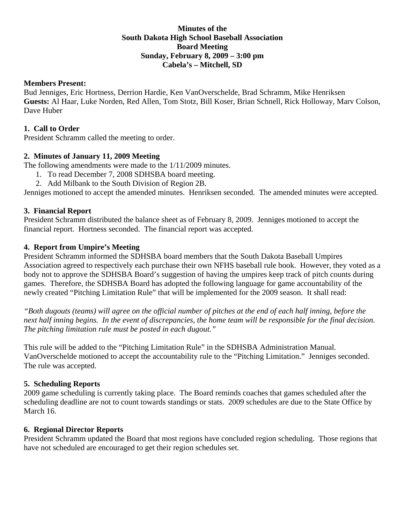### **Minutes of the South Dakota High School Baseball Association Board Meeting Sunday, February 8, 2009 – 3:00 pm Cabela's – Mitchell, SD**

### **Members Present:**

Bud Jenniges, Eric Hortness, Derrion Hardie, Ken VanOverschelde, Brad Schramm, Mike Henriksen **Guests:** Al Haar, Luke Norden, Red Allen, Tom Stotz, Bill Koser, Brian Schnell, Rick Holloway, Marv Colson, Dave Huber

## **1. Call to Order**

President Schramm called the meeting to order.

# **2. Minutes of January 11, 2009 Meeting**

The following amendments were made to the 1/11/2009 minutes.

- 1. To read December 7, 2008 SDHSBA board meeting.
- 2. Add Milbank to the South Division of Region 2B.

Jenniges motioned to accept the amended minutes. Henriksen seconded. The amended minutes were accepted.

# **3. Financial Report**

President Schramm distributed the balance sheet as of February 8, 2009. Jenniges motioned to accept the financial report. Hortness seconded. The financial report was accepted.

### **4. Report from Umpire's Meeting**

President Schramm informed the SDHSBA board members that the South Dakota Baseball Umpires Association agreed to respectively each purchase their own NFHS baseball rule book. However, they voted as a body not to approve the SDHSBA Board's suggestion of having the umpires keep track of pitch counts during games. Therefore, the SDHSBA Board has adopted the following language for game accountability of the newly created "Pitching Limitation Rule" that will be implemented for the 2009 season. It shall read:

*"Both dugouts (teams) will agree on the official number of pitches at the end of each half inning, before the next half inning begins. In the event of discrepancies, the home team will be responsible for the final decision. The pitching limitation rule must be posted in each dugout."* 

This rule will be added to the "Pitching Limitation Rule" in the SDHSBA Administration Manual. VanOverschelde motioned to accept the accountability rule to the "Pitching Limitation." Jenniges seconded. The rule was accepted.

# **5. Scheduling Reports**

2009 game scheduling is currently taking place. The Board reminds coaches that games scheduled after the scheduling deadline are not to count towards standings or stats. 2009 schedules are due to the State Office by March 16.

#### **6. Regional Director Reports**

President Schramm updated the Board that most regions have concluded region scheduling. Those regions that have not scheduled are encouraged to get their region schedules set.